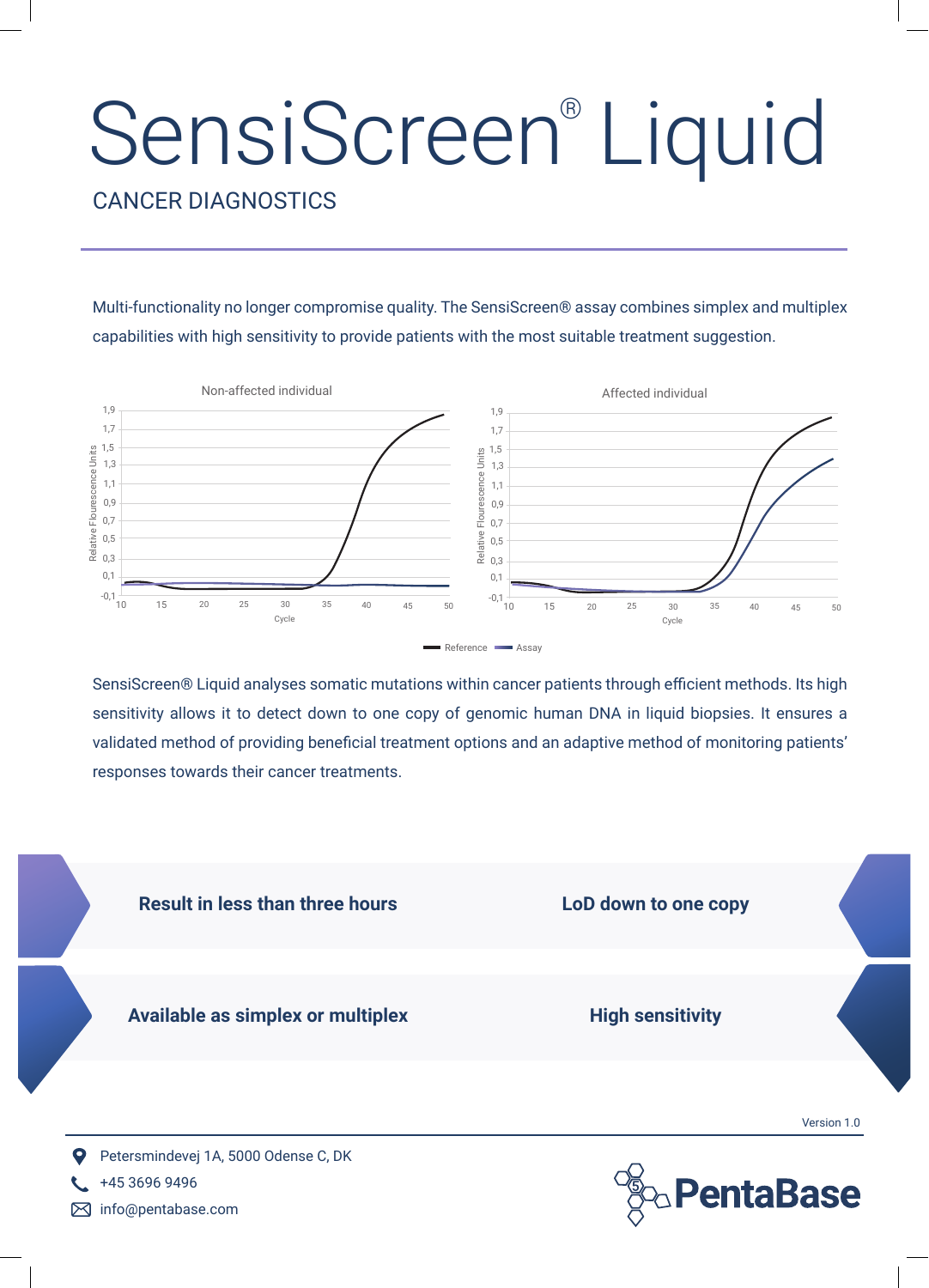## **SensiScreen®** Liquid

CANCER DIAGNOSTICS

Multi-functionality no longer compromise quality. The SensiScreen® assay combines simplex and multiplex capabilities with high sensitivity to provide patients with the most suitable treatment suggestion.



SensiScreen® Liquid analyses somatic mutations within cancer patients through efficient methods. Its high sensitivity allows it to detect down to one copy of genomic human DNA in liquid biopsies. It ensures a validated method of providing beneficial treatment options and an adaptive method of monitoring patients' responses towards their cancer treatments.



■ info@pentabase.com